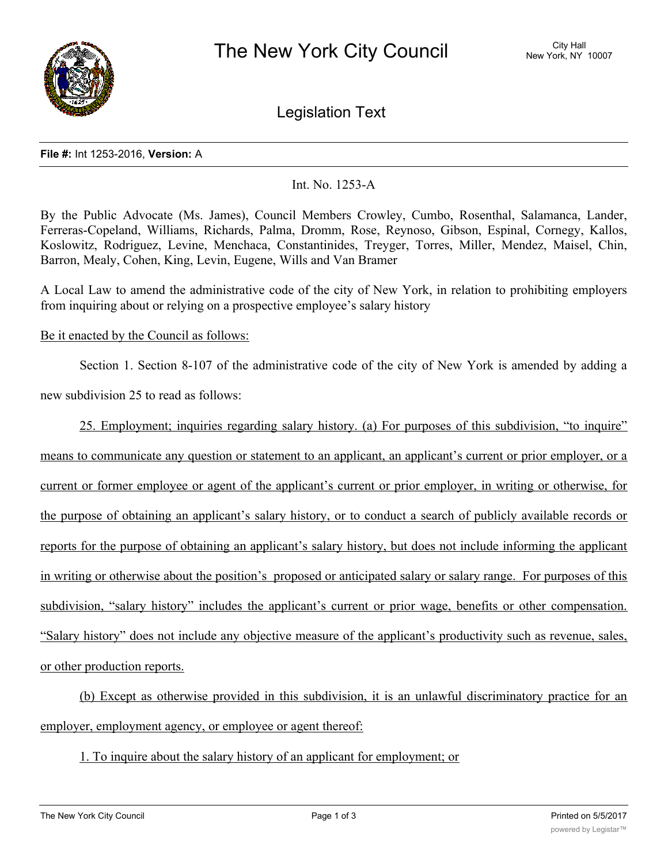

Legislation Text

#### **File #:** Int 1253-2016, **Version:** A

# Int. No. 1253-A

By the Public Advocate (Ms. James), Council Members Crowley, Cumbo, Rosenthal, Salamanca, Lander, Ferreras-Copeland, Williams, Richards, Palma, Dromm, Rose, Reynoso, Gibson, Espinal, Cornegy, Kallos, Koslowitz, Rodriguez, Levine, Menchaca, Constantinides, Treyger, Torres, Miller, Mendez, Maisel, Chin, Barron, Mealy, Cohen, King, Levin, Eugene, Wills and Van Bramer

A Local Law to amend the administrative code of the city of New York, in relation to prohibiting employers from inquiring about or relying on a prospective employee's salary history

## Be it enacted by the Council as follows:

Section 1. Section 8-107 of the administrative code of the city of New York is amended by adding a

new subdivision 25 to read as follows:

25. Employment; inquiries regarding salary history. (a) For purposes of this subdivision, "to inquire" means to communicate any question or statement to an applicant, an applicant's current or prior employer, or a current or former employee or agent of the applicant's current or prior employer, in writing or otherwise, for the purpose of obtaining an applicant's salary history, or to conduct a search of publicly available records or reports for the purpose of obtaining an applicant's salary history, but does not include informing the applicant in writing or otherwise about the position's proposed or anticipated salary or salary range. For purposes of this subdivision, "salary history" includes the applicant's current or prior wage, benefits or other compensation. "Salary history" does not include any objective measure of the applicant's productivity such as revenue, sales, or other production reports.

(b) Except as otherwise provided in this subdivision, it is an unlawful discriminatory practice for an employer, employment agency, or employee or agent thereof:

1. To inquire about the salary history of an applicant for employment; or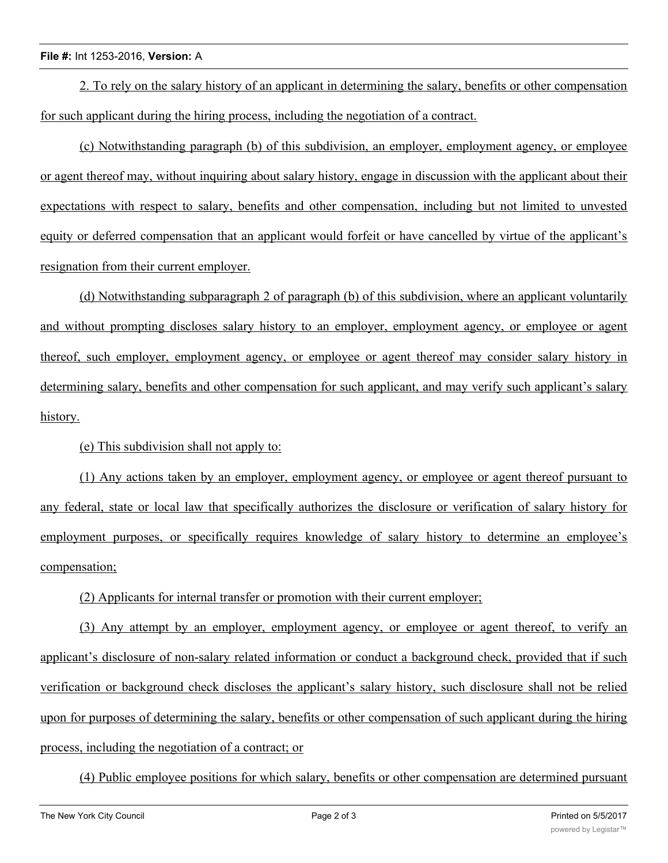### **File #:** Int 1253-2016, **Version:** A

2. To rely on the salary history of an applicant in determining the salary, benefits or other compensation for such applicant during the hiring process, including the negotiation of a contract.

(c) Notwithstanding paragraph (b) of this subdivision, an employer, employment agency, or employee or agent thereof may, without inquiring about salary history, engage in discussion with the applicant about their expectations with respect to salary, benefits and other compensation, including but not limited to unvested equity or deferred compensation that an applicant would forfeit or have cancelled by virtue of the applicant's resignation from their current employer.

(d) Notwithstanding subparagraph 2 of paragraph (b) of this subdivision, where an applicant voluntarily and without prompting discloses salary history to an employer, employment agency, or employee or agent thereof, such employer, employment agency, or employee or agent thereof may consider salary history in determining salary, benefits and other compensation for such applicant, and may verify such applicant's salary history.

(e) This subdivision shall not apply to:

(1) Any actions taken by an employer, employment agency, or employee or agent thereof pursuant to any federal, state or local law that specifically authorizes the disclosure or verification of salary history for employment purposes, or specifically requires knowledge of salary history to determine an employee's compensation;

(2) Applicants for internal transfer or promotion with their current employer;

(3) Any attempt by an employer, employment agency, or employee or agent thereof, to verify an applicant's disclosure of non-salary related information or conduct a background check, provided that if such verification or background check discloses the applicant's salary history, such disclosure shall not be relied upon for purposes of determining the salary, benefits or other compensation of such applicant during the hiring process, including the negotiation of a contract; or

(4) Public employee positions for which salary, benefits or other compensation are determined pursuant